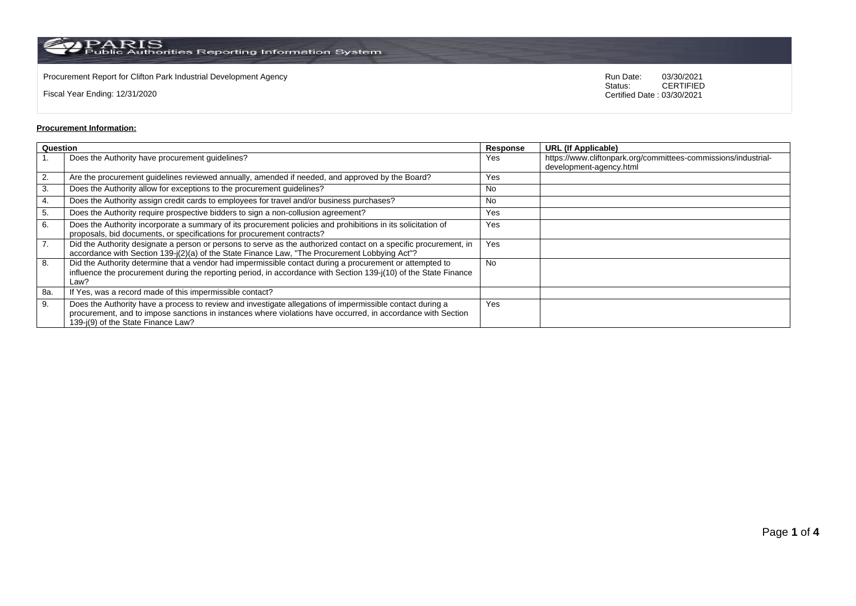$\rm PARS$  PARIS<br>Public Authorities Reporting Information System

Procurement Report for Clifton Park Industrial Development Agency<br>
Status: CERTIFIED<br>
CERTIFIED

Fiscal Year Ending: 12/31/2020

CERTIFIED Certified Date : 03/30/2021

## **Procurement Information:**

| Question |                                                                                                                                                                                                                                                                 | Response  | <b>URL (If Applicable)</b>                                                                |
|----------|-----------------------------------------------------------------------------------------------------------------------------------------------------------------------------------------------------------------------------------------------------------------|-----------|-------------------------------------------------------------------------------------------|
|          | Does the Authority have procurement guidelines?                                                                                                                                                                                                                 | Yes       | https://www.cliftonpark.org/committees-commissions/industrial-<br>development-agency.html |
| 2.       | Are the procurement guidelines reviewed annually, amended if needed, and approved by the Board?                                                                                                                                                                 | Yes       |                                                                                           |
| 3.       | Does the Authority allow for exceptions to the procurement quidelines?                                                                                                                                                                                          | No        |                                                                                           |
| 4.       | Does the Authority assign credit cards to employees for travel and/or business purchases?                                                                                                                                                                       | <b>No</b> |                                                                                           |
| 5.       | Does the Authority require prospective bidders to sign a non-collusion agreement?                                                                                                                                                                               | Yes       |                                                                                           |
| 6.       | Does the Authority incorporate a summary of its procurement policies and prohibitions in its solicitation of<br>proposals, bid documents, or specifications for procurement contracts?                                                                          | Yes       |                                                                                           |
| 7.       | Did the Authority designate a person or persons to serve as the authorized contact on a specific procurement, in<br>accordance with Section 139-j(2)(a) of the State Finance Law, "The Procurement Lobbying Act"?                                               | Yes       |                                                                                           |
| 8.       | Did the Authority determine that a vendor had impermissible contact during a procurement or attempted to<br>influence the procurement during the reporting period, in accordance with Section 139-j(10) of the State Finance<br>Law?                            | No.       |                                                                                           |
| 8a.      | If Yes, was a record made of this impermissible contact?                                                                                                                                                                                                        |           |                                                                                           |
| 9.       | Does the Authority have a process to review and investigate allegations of impermissible contact during a<br>procurement, and to impose sanctions in instances where violations have occurred, in accordance with Section<br>139-j(9) of the State Finance Law? | Yes       |                                                                                           |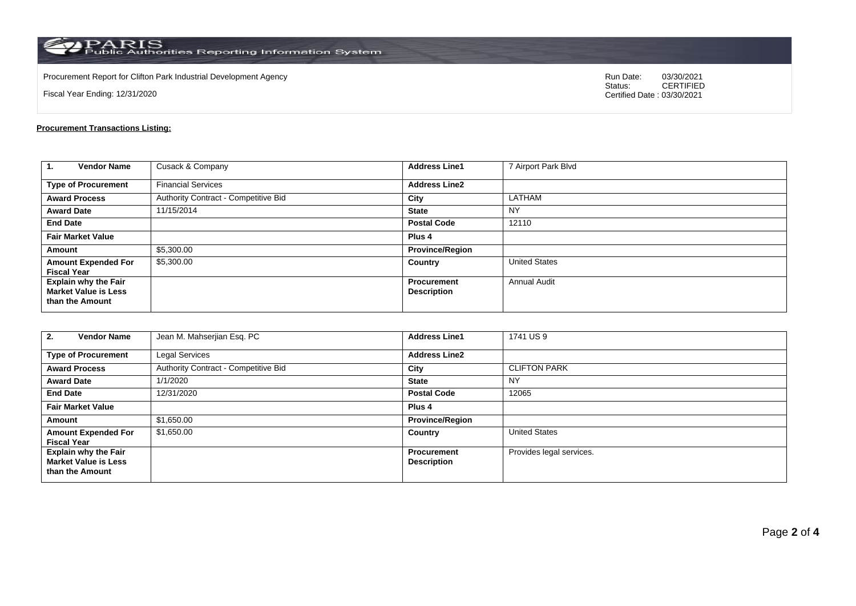$\rm PARS$  PARIS<br>Public Authorities Reporting Information System

Procurement Report for Clifton Park Industrial Development Agency<br>
Status: CERTIFIED<br>
CERTIFIED

Fiscal Year Ending: 12/31/2020

CERTIFIED Certified Date : 03/30/2021

## **Procurement Transactions Listing:**

| 1.<br><b>Vendor Name</b>                                                      | Cusack & Company                     | <b>Address Line1</b>                     | 7 Airport Park Blvd  |
|-------------------------------------------------------------------------------|--------------------------------------|------------------------------------------|----------------------|
| <b>Type of Procurement</b>                                                    | <b>Financial Services</b>            | <b>Address Line2</b>                     |                      |
| <b>Award Process</b>                                                          | Authority Contract - Competitive Bid | City                                     | LATHAM               |
| <b>Award Date</b>                                                             | 11/15/2014                           | <b>State</b>                             | <b>NY</b>            |
| <b>End Date</b>                                                               |                                      | <b>Postal Code</b>                       | 12110                |
| <b>Fair Market Value</b>                                                      |                                      | Plus <sub>4</sub>                        |                      |
| Amount                                                                        | \$5,300.00                           | <b>Province/Region</b>                   |                      |
| <b>Amount Expended For</b><br><b>Fiscal Year</b>                              | \$5,300.00                           | Country                                  | <b>United States</b> |
| <b>Explain why the Fair</b><br><b>Market Value is Less</b><br>than the Amount |                                      | <b>Procurement</b><br><b>Description</b> | <b>Annual Audit</b>  |

| <b>Vendor Name</b><br>2.                                                      | Jean M. Mahserjian Esq. PC           | <b>Address Line1</b>                     | 1741 US 9                |
|-------------------------------------------------------------------------------|--------------------------------------|------------------------------------------|--------------------------|
| <b>Type of Procurement</b>                                                    | Legal Services                       | <b>Address Line2</b>                     |                          |
| <b>Award Process</b>                                                          | Authority Contract - Competitive Bid | City                                     | <b>CLIFTON PARK</b>      |
| <b>Award Date</b>                                                             | 1/1/2020                             | <b>State</b>                             | <b>NY</b>                |
| <b>End Date</b>                                                               | 12/31/2020                           | <b>Postal Code</b>                       | 12065                    |
| <b>Fair Market Value</b>                                                      |                                      | Plus <sub>4</sub>                        |                          |
| Amount                                                                        | \$1,650.00                           | <b>Province/Region</b>                   |                          |
| <b>Amount Expended For</b><br><b>Fiscal Year</b>                              | \$1,650.00                           | Country                                  | <b>United States</b>     |
| <b>Explain why the Fair</b><br><b>Market Value is Less</b><br>than the Amount |                                      | <b>Procurement</b><br><b>Description</b> | Provides legal services. |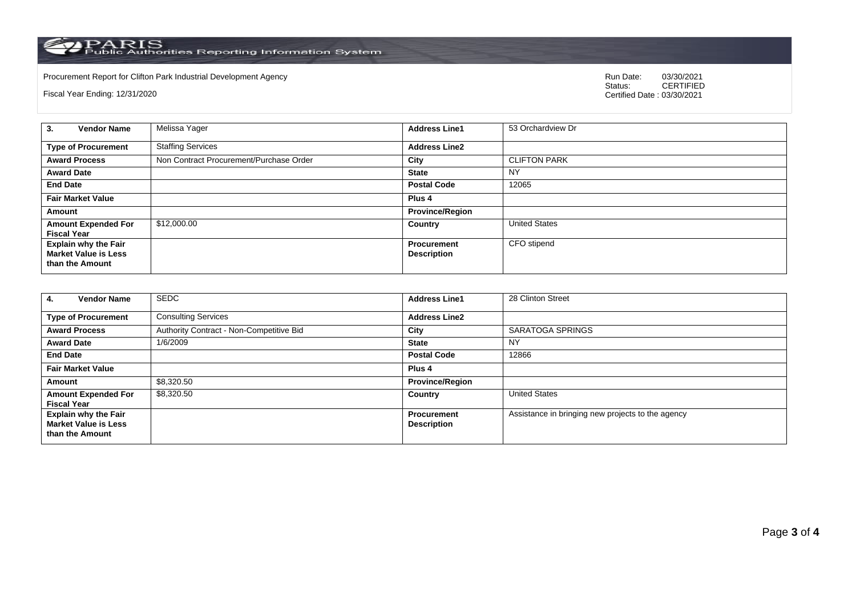PARIS<br>Public Authorities Reporting Information System

Procurement Report for Clifton Park Industrial Development Agency Run Date: 03/30/2021

Fiscal Year Ending: 12/31/2020

03/30/2021<br>CERTIFIED Certified Date : 03/30/2021

| <b>Vendor Name</b><br>3.                                                      | Melissa Yager                           | <b>Address Line1</b>                     | 53 Orchardview Dr    |
|-------------------------------------------------------------------------------|-----------------------------------------|------------------------------------------|----------------------|
| <b>Type of Procurement</b>                                                    | <b>Staffing Services</b>                | <b>Address Line2</b>                     |                      |
| <b>Award Process</b>                                                          | Non Contract Procurement/Purchase Order | City                                     | <b>CLIFTON PARK</b>  |
| <b>Award Date</b>                                                             |                                         | <b>State</b>                             | <b>NY</b>            |
| <b>End Date</b>                                                               |                                         | <b>Postal Code</b>                       | 12065                |
| <b>Fair Market Value</b>                                                      |                                         | Plus <sub>4</sub>                        |                      |
| Amount                                                                        |                                         | <b>Province/Region</b>                   |                      |
| <b>Amount Expended For</b><br><b>Fiscal Year</b>                              | \$12,000.00                             | Country                                  | <b>United States</b> |
| <b>Explain why the Fair</b><br><b>Market Value is Less</b><br>than the Amount |                                         | <b>Procurement</b><br><b>Description</b> | CFO stipend          |

| <b>Vendor Name</b><br>4.                                                      | <b>SEDC</b>                              | <b>Address Line1</b>                     | 28 Clinton Street                                 |
|-------------------------------------------------------------------------------|------------------------------------------|------------------------------------------|---------------------------------------------------|
| <b>Type of Procurement</b>                                                    | <b>Consulting Services</b>               | <b>Address Line2</b>                     |                                                   |
| <b>Award Process</b>                                                          | Authority Contract - Non-Competitive Bid | City                                     | <b>SARATOGA SPRINGS</b>                           |
| <b>Award Date</b>                                                             | 1/6/2009                                 | <b>State</b>                             | NY                                                |
| <b>End Date</b>                                                               |                                          | <b>Postal Code</b>                       | 12866                                             |
| <b>Fair Market Value</b>                                                      |                                          | Plus 4                                   |                                                   |
| Amount                                                                        | \$8,320.50                               | <b>Province/Region</b>                   |                                                   |
| <b>Amount Expended For</b><br><b>Fiscal Year</b>                              | \$8.320.50                               | Country                                  | <b>United States</b>                              |
| <b>Explain why the Fair</b><br><b>Market Value is Less</b><br>than the Amount |                                          | <b>Procurement</b><br><b>Description</b> | Assistance in bringing new projects to the agency |